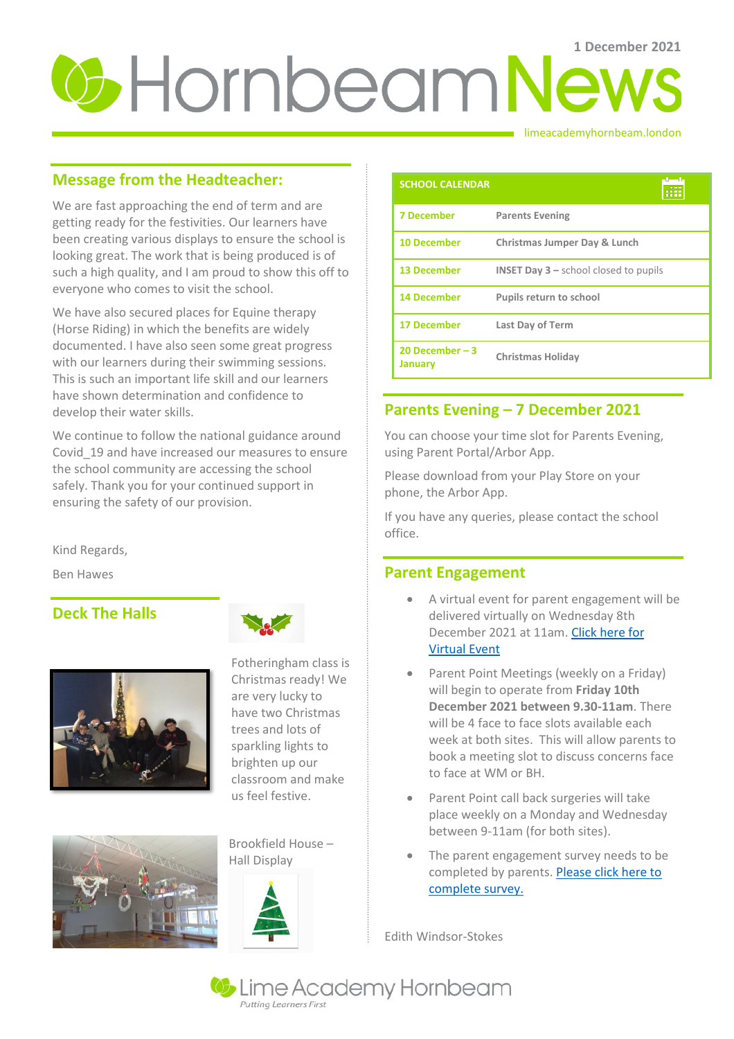# **U** Hornbeam News

#### limeacademyhornbeam.london

# **Message from the Headteacher:**

We are fast approaching the end of term and are getting ready for the festivities. Our learners have been creating various displays to ensure the school is looking great. The work that is being produced is of such a high quality, and I am proud to show this off to everyone who comes to visit the school.

We have also secured places for Equine therapy (Horse Riding) in which the benefits are widely documented. I have also seen some great progress with our learners during their swimming sessions. This is such an important life skill and our learners have shown determination and confidence to develop their water skills.

We continue to follow the national guidance around Covid\_19 and have increased our measures to ensure the school community are accessing the school safely. Thank you for your continued support in ensuring the safety of our provision.

Kind Regards,

Ben Hawes

# **Deck The Halls**







Christmas ready! We are very lucky to have two Christmas trees and lots of sparkling lights to brighten up our classroom and make us feel festive.

Brookfield House – Hall Display



| <b>SCHOOL CALENDAR</b>      | بالصبار                                                   |
|-----------------------------|-----------------------------------------------------------|
| <b>7 December</b>           | <b>Parents Evening</b>                                    |
| <b>10 December</b>          | Christmas Jumper Day & Lunch                              |
| <b>13 December</b>          | <b>INSET Day <math>3</math> – school closed to pupils</b> |
| <b>14 December</b>          | <b>Pupils return to school</b>                            |
| <b>17 December</b>          | <b>Last Day of Term</b>                                   |
| 20 December $-3$<br>January | <b>Christmas Holiday</b>                                  |

## **Parents Evening – 7 December 2021**

You can choose your time slot for Parents Evening, using Parent Portal/Arbor App.

Please download from your Play Store on your phone, the Arbor App.

If you have any queries, please contact the school office.

## **Parent Engagement**

- A virtual event for parent engagement will be delivered virtually on Wednesday 8th December 2021 at 11am. [Click here for](https://teams.microsoft.com/l/meetup-join/19%3ameeting_MmU3ODhkYTctOWExYy00N2RiLWIxZTctNTU4OGE4NjhhMWQw%40thread.v2/0?context=%7b%22Tid%22%3a%22f9b717ad-2503-4403-874e-679bc6721b8d%22%2c%22Oid%22%3a%222c9563e4-20c8-460b-9dc5-7f5bac00e622%22%7d)  [Virtual Event](https://teams.microsoft.com/l/meetup-join/19%3ameeting_MmU3ODhkYTctOWExYy00N2RiLWIxZTctNTU4OGE4NjhhMWQw%40thread.v2/0?context=%7b%22Tid%22%3a%22f9b717ad-2503-4403-874e-679bc6721b8d%22%2c%22Oid%22%3a%222c9563e4-20c8-460b-9dc5-7f5bac00e622%22%7d)
- Parent Point Meetings (weekly on a Friday) will begin to operate from **Friday 10th December 2021 between 9.30-11am**. There will be 4 face to face slots available each week at both sites. This will allow parents to book a meeting slot to discuss concerns face to face at WM or BH.
- Parent Point call back surgeries will take place weekly on a Monday and Wednesday between 9-11am (for both sites).
- The parent engagement survey needs to be completed by parents[. Please click here to](https://forms.office.com/r/JJ7tgWXWWT)  [complete survey.](https://forms.office.com/r/JJ7tgWXWWT)

Edith Windsor-Stokes

Lime Academy Hornbeam **Putting Learners First**